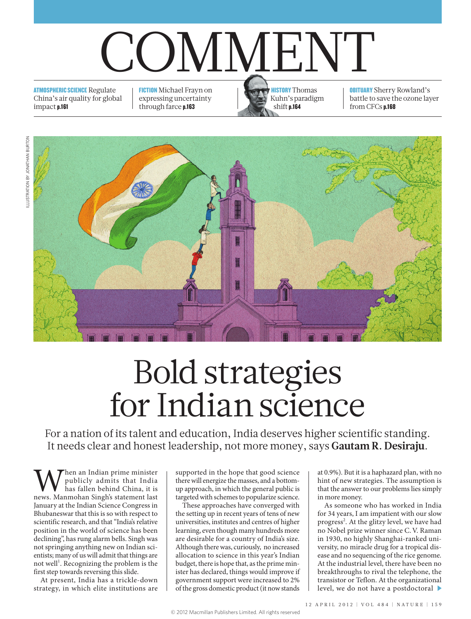# COMMENT

ATMOSPHERIC SCIENCE Regulate China's air quality for global impact p.161

FICTION Michael Frayn on expressing uncertainty through farce p.163



**OBITUARY** Sherry Rowland's battle to save the ozone layer from CFCs p.168



## Bold strategies for Indian science

For a nation of its talent and education, India deserves higher scientific standing. It needs clear and honest leadership, not more money, says **Gautam R. Desiraju**.

When an Indian prime minister<br>has fallen behind China, it is<br>news. Manmohan Singh's statement last publicly admits that India has fallen behind China, it is January at the Indian Science Congress in Bhubaneswar that this is so with respect to scientific research, and that "India's relative position in the world of science has been declining", has rung alarm bells. Singh was not springing anything new on Indian scientists; many of us will admit that things are not well<sup>1</sup>. Recognizing the problem is the first step towards reversing this slide.

At present, India has a trickle-down strategy, in which elite institutions are

supported in the hope that good science there will energize the masses, and a bottomup approach, in which the general public is targeted with schemes to popularize science.

These approaches have converged with the setting up in recent years of tens of new universities, institutes and centres of higher learning, even though many hundreds more are desirable for a country of India's size. Although there was, curiously, no increased allocation to science in this year's Indian budget, there is hope that, as the prime minister has declared, things would improve if government support were increased to 2% of the gross domestic product (it now stands at 0.9%). But it is a haphazard plan, with no hint of new strategies. The assumption is that the answer to our problems lies simply in more money.

As someone who has worked in India for 34 years, I am impatient with our slow progress<sup>2</sup>. At the glitzy level, we have had no Nobel prize winner since C.V. Raman in 1930, no highly Shanghai-ranked university, no miracle drug for a tropical disease and no sequencing of the rice genome. At the industrial level, there have been no breakthroughs to rival the telephone, the transistor or Teflon. At the organizational level, we do not have a postdoctoral